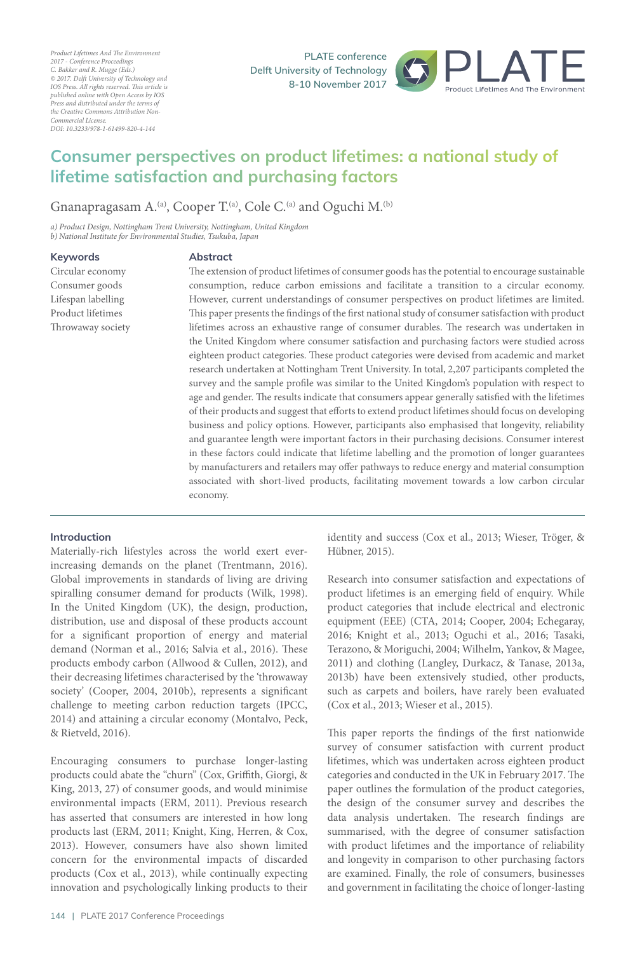*Product Lifetimes And The Environment 2017 - Conference Proceedings C. Bakker and R. Mugge (Eds.) © 2017. Delft University of Technology and IOS Press. All rights reserved. This article is published online with Open Access by IOS Press and distributed under the terms of the Creative Commons Attribution Non-Commercial License. DOI: 10.3233/978-1-61499-820-4-144*

**PLATE** conference **Pelft University of Technology 8-10 November 2017** 



# Consumer perspectives on product lifetimes: a national study of **lifetime satisfaction and purchasing factors**

Gnanapragasam  $A^{(a)}$ , Cooper T.<sup>(a)</sup>, Cole C.<sup>(a)</sup> and Oguchi M.<sup>(b)</sup>

*a) Product Design, Nottingham Trent University, Nottingham, United Kingdom b) National Institute for Environmental Studies, Tsukuba, Japan*

#### **Keywords**

Circular economy Consumer goods Lifespan labelling Product lifetimes Throwaway society

## **Abstract**

The extension of product lifetimes of consumer goods has the potential to encourage sustainable consumption, reduce carbon emissions and facilitate a transition to a circular economy. However, current understandings of consumer perspectives on product lifetimes are limited. This paper presents the findings of the first national study of consumer satisfaction with product lifetimes across an exhaustive range of consumer durables. The research was undertaken in the United Kingdom where consumer satisfaction and purchasing factors were studied across eighteen product categories. These product categories were devised from academic and market research undertaken at Nottingham Trent University. In total, 2,207 participants completed the survey and the sample profile was similar to the United Kingdom's population with respect to age and gender. The results indicate that consumers appear generally satisfied with the lifetimes of their products and suggest that efforts to extend product lifetimes should focus on developing business and policy options. However, participants also emphasised that longevity, reliability and guarantee length were important factors in their purchasing decisions. Consumer interest in these factors could indicate that lifetime labelling and the promotion of longer guarantees by manufacturers and retailers may offer pathways to reduce energy and material consumption associated with short-lived products, facilitating movement towards a low carbon circular economy.

## **Introduction**

Materially-rich lifestyles across the world exert everincreasing demands on the planet (Trentmann, 2016). Global improvements in standards of living are driving spiralling consumer demand for products (Wilk, 1998). In the United Kingdom (UK), the design, production, distribution, use and disposal of these products account for a significant proportion of energy and material demand (Norman et al., 2016; Salvia et al., 2016). These products embody carbon (Allwood & Cullen, 2012), and their decreasing lifetimes characterised by the 'throwaway society' (Cooper, 2004, 2010b), represents a significant challenge to meeting carbon reduction targets (IPCC, 2014) and attaining a circular economy (Montalvo, Peck, & Rietveld, 2016).

Encouraging consumers to purchase longer-lasting products could abate the "churn" (Cox, Griffith, Giorgi, & King, 2013, 27) of consumer goods, and would minimise environmental impacts (ERM, 2011). Previous research has asserted that consumers are interested in how long products last (ERM, 2011; Knight, King, Herren, & Cox, 2013). However, consumers have also shown limited concern for the environmental impacts of discarded products (Cox et al., 2013), while continually expecting innovation and psychologically linking products to their identity and success (Cox et al., 2013; Wieser, Tröger, & Hübner, 2015).

Research into consumer satisfaction and expectations of product lifetimes is an emerging field of enquiry. While product categories that include electrical and electronic equipment (EEE) (CTA, 2014; Cooper, 2004; Echegaray, 2016; Knight et al., 2013; Oguchi et al., 2016; Tasaki, Terazono, & Moriguchi, 2004; Wilhelm, Yankov, & Magee, 2011) and clothing (Langley, Durkacz, & Tanase, 2013a, 2013b) have been extensively studied, other products, such as carpets and boilers, have rarely been evaluated (Cox et al., 2013; Wieser et al., 2015).

This paper reports the findings of the first nationwide survey of consumer satisfaction with current product lifetimes, which was undertaken across eighteen product categories and conducted in the UK in February 2017. The paper outlines the formulation of the product categories, the design of the consumer survey and describes the data analysis undertaken. The research findings are summarised, with the degree of consumer satisfaction with product lifetimes and the importance of reliability and longevity in comparison to other purchasing factors are examined. Finally, the role of consumers, businesses and government in facilitating the choice of longer-lasting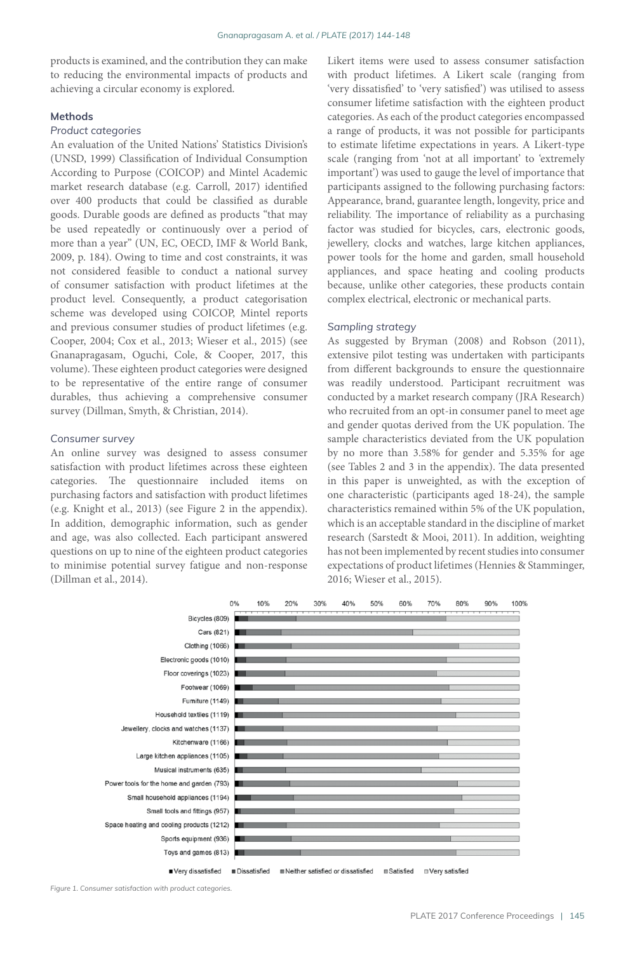products is examined, and the contribution they can make to reducing the environmental impacts of products and achieving a circular economy is explored.

#### **Methods**

#### *Product categories*

An evaluation of the United Nations' Statistics Division's (UNSD, 1999) Classification of Individual Consumption According to Purpose (COICOP) and Mintel Academic market research database (e.g. Carroll, 2017) identified over 400 products that could be classified as durable goods. Durable goods are defined as products "that may be used repeatedly or continuously over a period of more than a year" (UN, EC, OECD, IMF & World Bank, 2009, p. 184). Owing to time and cost constraints, it was not considered feasible to conduct a national survey of consumer satisfaction with product lifetimes at the product level. Consequently, a product categorisation scheme was developed using COICOP, Mintel reports and previous consumer studies of product lifetimes (e.g. Cooper, 2004; Cox et al., 2013; Wieser et al., 2015) (see Gnanapragasam, Oguchi, Cole, & Cooper, 2017, this volume). These eighteen product categories were designed to be representative of the entire range of consumer durables, thus achieving a comprehensive consumer survey (Dillman, Smyth, & Christian, 2014).

## *Consumer survey*

An online survey was designed to assess consumer satisfaction with product lifetimes across these eighteen categories. The questionnaire included items on purchasing factors and satisfaction with product lifetimes (e.g. Knight et al., 2013) (see Figure 2 in the appendix). In addition, demographic information, such as gender and age, was also collected. Each participant answered questions on up to nine of the eighteen product categories to minimise potential survey fatigue and non-response (Dillman et al., 2014).

Likert items were used to assess consumer satisfaction with product lifetimes. A Likert scale (ranging from 'very dissatisfied' to 'very satisfied') was utilised to assess consumer lifetime satisfaction with the eighteen product categories. As each of the product categories encompassed a range of products, it was not possible for participants to estimate lifetime expectations in years. A Likert-type scale (ranging from 'not at all important' to 'extremely important') was used to gauge the level of importance that participants assigned to the following purchasing factors: Appearance, brand, guarantee length, longevity, price and reliability. The importance of reliability as a purchasing factor was studied for bicycles, cars, electronic goods, jewellery, clocks and watches, large kitchen appliances, power tools for the home and garden, small household appliances, and space heating and cooling products because, unlike other categories, these products contain complex electrical, electronic or mechanical parts.

#### *Sampling strategy*

As suggested by Bryman (2008) and Robson (2011), extensive pilot testing was undertaken with participants from different backgrounds to ensure the questionnaire was readily understood. Participant recruitment was conducted by a market research company (JRA Research) who recruited from an opt-in consumer panel to meet age and gender quotas derived from the UK population. The sample characteristics deviated from the UK population by no more than 3.58% for gender and 5.35% for age (see Tables 2 and 3 in the appendix). The data presented in this paper is unweighted, as with the exception of one characteristic (participants aged 18-24), the sample characteristics remained within 5% of the UK population, which is an acceptable standard in the discipline of market research (Sarstedt & Mooi, 2011). In addition, weighting has not been implemented by recent studies into consumer expectations of product lifetimes (Hennies & Stamminger, 2016; Wieser et al., 2015).



*Figure 1. Consumer satisfaction with product categories.*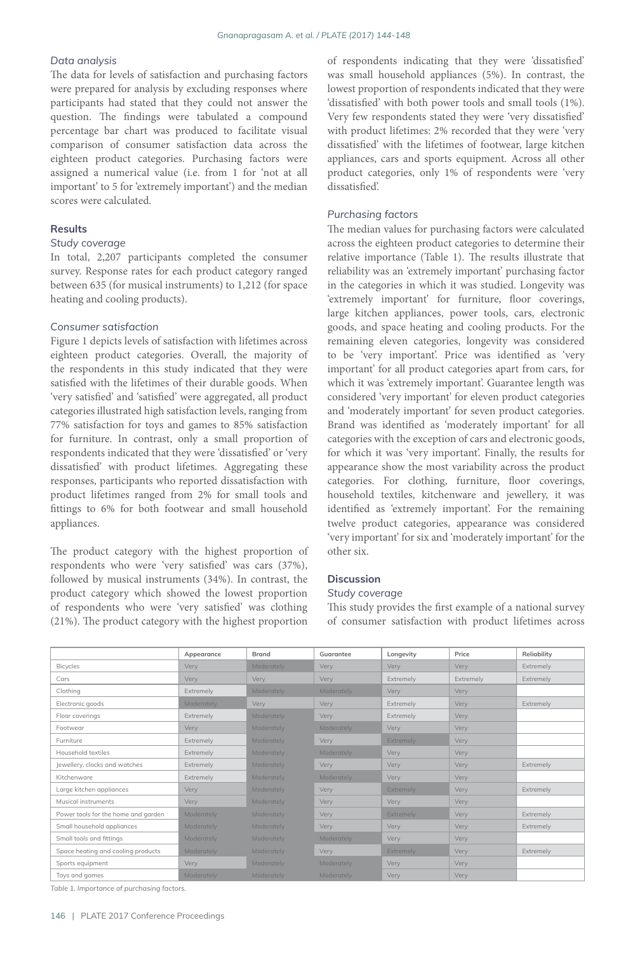## *Data analysis*

The data for levels of satisfaction and purchasing factors were prepared for analysis by excluding responses where participants had stated that they could not answer the question. The findings were tabulated a compound percentage bar chart was produced to facilitate visual comparison of consumer satisfaction data across the eighteen product categories. Purchasing factors were assigned a numerical value (i.e. from 1 for 'not at all important' to 5 for 'extremely important') and the median scores were calculated.

## **Results**

## *Study coverage*

In total, 2,207 participants completed the consumer survey. Response rates for each product category ranged between 635 (for musical instruments) to 1,212 (for space heating and cooling products).

#### *Consumer satisfaction*

Figure 1 depicts levels of satisfaction with lifetimes across eighteen product categories. Overall, the majority of the respondents in this study indicated that they were satisfied with the lifetimes of their durable goods. When 'very satisfied' and 'satisfied' were aggregated, all product categories illustrated high satisfaction levels, ranging from 77% satisfaction for toys and games to 85% satisfaction for furniture. In contrast, only a small proportion of respondents indicated that they were 'dissatisfied' or 'very dissatisfied' with product lifetimes. Aggregating these responses, participants who reported dissatisfaction with product lifetimes ranged from 2% for small tools and fittings to 6% for both footwear and small household appliances.

The product category with the highest proportion of respondents who were 'very satisfied' was cars (37%), followed by musical instruments (34%). In contrast, the product category which showed the lowest proportion of respondents who were 'very satisfied' was clothing (21%). The product category with the highest proportion

of respondents indicating that they were 'dissatisfied' was small household appliances (5%). In contrast, the lowest proportion of respondents indicated that they were 'dissatisfied' with both power tools and small tools (1%). Very few respondents stated they were 'very dissatisfied' with product lifetimes: 2% recorded that they were 'very dissatisfied' with the lifetimes of footwear, large kitchen appliances, cars and sports equipment. Across all other product categories, only 1% of respondents were 'very dissatisfied'.

## *Purchasing factors*

The median values for purchasing factors were calculated across the eighteen product categories to determine their relative importance (Table 1). The results illustrate that reliability was an 'extremely important' purchasing factor in the categories in which it was studied. Longevity was 'extremely important' for furniture, floor coverings, large kitchen appliances, power tools, cars, electronic goods, and space heating and cooling products. For the remaining eleven categories, longevity was considered to be 'very important'. Price was identified as 'very important' for all product categories apart from cars, for which it was 'extremely important'. Guarantee length was considered 'very important' for eleven product categories and 'moderately important' for seven product categories. Brand was identified as 'moderately important' for all categories with the exception of cars and electronic goods, for which it was 'very important'. Finally, the results for appearance show the most variability across the product categories. For clothing, furniture, floor coverings, household textiles, kitchenware and jewellery, it was identified as 'extremely important'. For the remaining twelve product categories, appearance was considered 'very important' for six and 'moderately important' for the other six.

## **Discussion**

## *Study coverage*

This study provides the first example of a national survey of consumer satisfaction with product lifetimes across

|                                     | Appearance | <b>Brand</b> | Guarantee  | Longevity | Price       | Reliability |
|-------------------------------------|------------|--------------|------------|-----------|-------------|-------------|
| Bicycles                            | Very       | Moderately   | Very       | Very      | Very        | Extremely   |
| Cars                                | Very       | Very         | Very       | Extremely | Extremely   | Extremely   |
| Clothing                            | Extremely  | Moderately   | Moderately | Very      | <b>Very</b> |             |
| Electronic goods                    | Moderately | <b>Very</b>  | Very       | Extremely | Very        | Extremely   |
| Floor coverings                     | Extremely  | Moderately   | Very       | Extremely | Very        |             |
| Footwear                            | Very       | Moderately   | Moderately | Very      | Very        |             |
| Furniture                           | Extremely  | Moderately   | Very       | Extremely | Very        |             |
| Household textiles                  | Extremely  | Moderately   | Moderately | Very      | Very        |             |
| Jewellery, clocks and watches       | Extremely  | Moderately   | Very       | Very.     | Very        | Extremely   |
| Kitchenware                         | Extremely  | Moderately   | Moderately | Very      | Very        |             |
| Large kitchen appliances            | Very       | Moderately   | Very       | Extremely | Very        | Extremely   |
| Musical instruments                 | Very       | Moderately   | Very       | Very      | Very        |             |
| Power tools for the home and garden | Moderately | Moderately   | Very       | Extremely | Very        | Extremely   |
| Small household appliances          | Moderately | Moderately   | Very       | Very      | Very        | Extremely   |
| Small tools and fittinas            | Moderately | Moderately   | Moderately | Very      | Very        |             |
| Space heating and cooling products  | Moderately | Moderately   | Very       | Extremely | Very        | Extremely   |
| Sports equipment                    | Very       | Moderately   | Moderately | Very      | Very        |             |
| Toys and games                      | Moderately | Moderately   | Moderately | Very      | Very        |             |

*Table 1. Importance of purchasing factors.*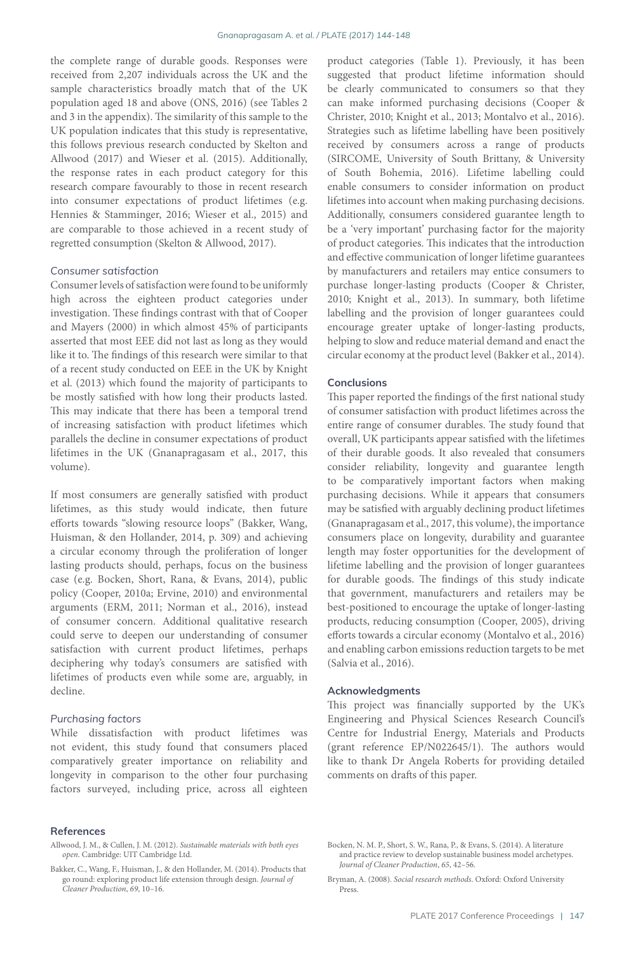the complete range of durable goods. Responses were received from 2,207 individuals across the UK and the sample characteristics broadly match that of the UK population aged 18 and above (ONS, 2016) (see Tables 2 and 3 in the appendix). The similarity of this sample to the UK population indicates that this study is representative, this follows previous research conducted by Skelton and Allwood (2017) and Wieser et al. (2015). Additionally, the response rates in each product category for this research compare favourably to those in recent research into consumer expectations of product lifetimes (e.g. Hennies & Stamminger, 2016; Wieser et al., 2015) and are comparable to those achieved in a recent study of regretted consumption (Skelton & Allwood, 2017).

## *Consumer satisfaction*

Consumer levels of satisfaction were found to be uniformly high across the eighteen product categories under investigation. These findings contrast with that of Cooper and Mayers (2000) in which almost 45% of participants asserted that most EEE did not last as long as they would like it to. The findings of this research were similar to that of a recent study conducted on EEE in the UK by Knight et al. (2013) which found the majority of participants to be mostly satisfied with how long their products lasted. This may indicate that there has been a temporal trend of increasing satisfaction with product lifetimes which parallels the decline in consumer expectations of product lifetimes in the UK (Gnanapragasam et al., 2017, this volume).

If most consumers are generally satisfied with product lifetimes, as this study would indicate, then future efforts towards "slowing resource loops" (Bakker, Wang, Huisman, & den Hollander, 2014, p. 309) and achieving a circular economy through the proliferation of longer lasting products should, perhaps, focus on the business case (e.g. Bocken, Short, Rana, & Evans, 2014), public policy (Cooper, 2010a; Ervine, 2010) and environmental arguments (ERM, 2011; Norman et al., 2016), instead of consumer concern. Additional qualitative research could serve to deepen our understanding of consumer satisfaction with current product lifetimes, perhaps deciphering why today's consumers are satisfied with lifetimes of products even while some are, arguably, in decline.

#### *Purchasing factors*

While dissatisfaction with product lifetimes was not evident, this study found that consumers placed comparatively greater importance on reliability and longevity in comparison to the other four purchasing factors surveyed, including price, across all eighteen

product categories (Table 1). Previously, it has been suggested that product lifetime information should be clearly communicated to consumers so that they can make informed purchasing decisions (Cooper & Christer, 2010; Knight et al., 2013; Montalvo et al., 2016). Strategies such as lifetime labelling have been positively received by consumers across a range of products (SIRCOME, University of South Brittany, & University of South Bohemia, 2016). Lifetime labelling could enable consumers to consider information on product lifetimes into account when making purchasing decisions. Additionally, consumers considered guarantee length to be a 'very important' purchasing factor for the majority of product categories. This indicates that the introduction and effective communication of longer lifetime guarantees by manufacturers and retailers may entice consumers to purchase longer-lasting products (Cooper & Christer, 2010; Knight et al., 2013). In summary, both lifetime labelling and the provision of longer guarantees could encourage greater uptake of longer-lasting products, helping to slow and reduce material demand and enact the circular economy at the product level (Bakker et al., 2014).

#### **Conclusions**

This paper reported the findings of the first national study of consumer satisfaction with product lifetimes across the entire range of consumer durables. The study found that overall, UK participants appear satisfied with the lifetimes of their durable goods. It also revealed that consumers consider reliability, longevity and guarantee length to be comparatively important factors when making purchasing decisions. While it appears that consumers may be satisfied with arguably declining product lifetimes (Gnanapragasam et al., 2017, this volume), the importance consumers place on longevity, durability and guarantee length may foster opportunities for the development of lifetime labelling and the provision of longer guarantees for durable goods. The findings of this study indicate that government, manufacturers and retailers may be best-positioned to encourage the uptake of longer-lasting products, reducing consumption (Cooper, 2005), driving efforts towards a circular economy (Montalvo et al., 2016) and enabling carbon emissions reduction targets to be met (Salvia et al., 2016).

#### **Acknowledgments**

This project was financially supported by the UK's Engineering and Physical Sciences Research Council's Centre for Industrial Energy, Materials and Products (grant reference EP/N022645/1). The authors would like to thank Dr Angela Roberts for providing detailed comments on drafts of this paper.

#### **References**

Allwood, J. M., & Cullen, J. M. (2012). *Sustainable materials with both eyes open*. Cambridge: UIT Cambridge Ltd.

Bakker, C., Wang, F., Huisman, J., & den Hollander, M. (2014). Products that go round: exploring product life extension through design. *Journal of Cleaner Production*, *69*, 10–16.

Bocken, N. M. P., Short, S. W., Rana, P., & Evans, S. (2014). A literature and practice review to develop sustainable business model archetypes. *Journal of Cleaner Production*, *65*, 42–56.

Bryman, A. (2008). *Social research methods*. Oxford: Oxford University Press.